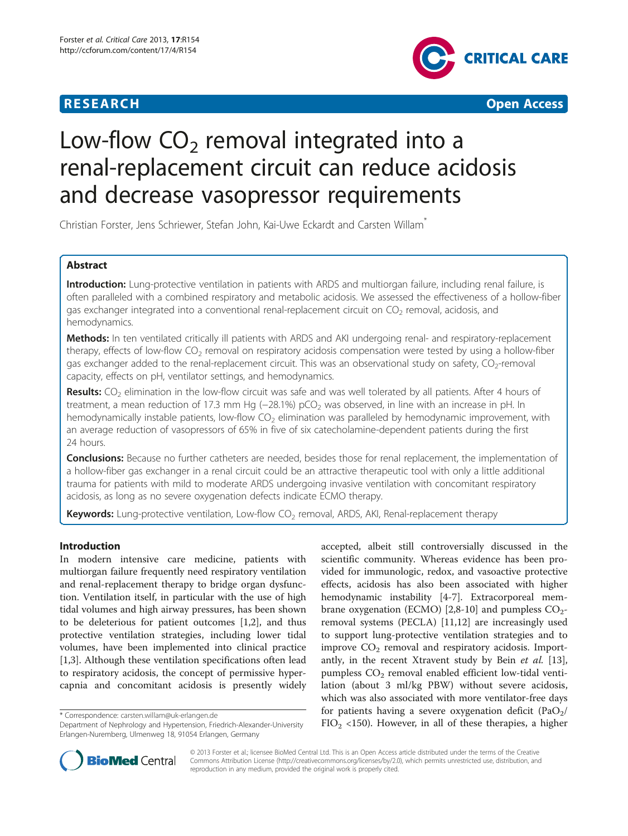



# Low-flow  $CO<sub>2</sub>$  removal integrated into a renal-replacement circuit can reduce acidosis and decrease vasopressor requirements

Christian Forster, Jens Schriewer, Stefan John, Kai-Uwe Eckardt and Carsten Willam\*

# Abstract

Introduction: Lung-protective ventilation in patients with ARDS and multiorgan failure, including renal failure, is often paralleled with a combined respiratory and metabolic acidosis. We assessed the effectiveness of a hollow-fiber gas exchanger integrated into a conventional renal-replacement circuit on  $CO<sub>2</sub>$  removal, acidosis, and hemodynamics.

Methods: In ten ventilated critically ill patients with ARDS and AKI undergoing renal- and respiratory-replacement therapy, effects of low-flow  $CO<sub>2</sub>$  removal on respiratory acidosis compensation were tested by using a hollow-fiber gas exchanger added to the renal-replacement circuit. This was an observational study on safety, CO<sub>2</sub>-removal capacity, effects on pH, ventilator settings, and hemodynamics.

Results:  $CO<sub>2</sub>$  elimination in the low-flow circuit was safe and was well tolerated by all patients. After 4 hours of treatment, a mean reduction of 17.3 mm Hg (−28.1%) pCO<sub>2</sub> was observed, in line with an increase in pH. In hemodynamically instable patients, low-flow  $CO<sub>2</sub>$  elimination was paralleled by hemodynamic improvement, with an average reduction of vasopressors of 65% in five of six catecholamine-dependent patients during the first 24 hours.

Conclusions: Because no further catheters are needed, besides those for renal replacement, the implementation of a hollow-fiber gas exchanger in a renal circuit could be an attractive therapeutic tool with only a little additional trauma for patients with mild to moderate ARDS undergoing invasive ventilation with concomitant respiratory acidosis, as long as no severe oxygenation defects indicate ECMO therapy.

Keywords: Lung-protective ventilation, Low-flow CO<sub>2</sub> removal, ARDS, AKI, Renal-replacement therapy

# Introduction

In modern intensive care medicine, patients with multiorgan failure frequently need respiratory ventilation and renal-replacement therapy to bridge organ dysfunction. Ventilation itself, in particular with the use of high tidal volumes and high airway pressures, has been shown to be deleterious for patient outcomes [[1,2\]](#page-9-0), and thus protective ventilation strategies, including lower tidal volumes, have been implemented into clinical practice [[1,3\]](#page-9-0). Although these ventilation specifications often lead to respiratory acidosis, the concept of permissive hypercapnia and concomitant acidosis is presently widely

accepted, albeit still controversially discussed in the scientific community. Whereas evidence has been provided for immunologic, redox, and vasoactive protective effects, acidosis has also been associated with higher hemodynamic instability [\[4](#page-9-0)-[7\]](#page-9-0). Extracorporeal mem-brane oxygenation (ECMO) [\[2,8](#page-9-0)-[10\]](#page-9-0) and pumpless  $CO<sub>2</sub>$ removal systems (PECLA) [[11](#page-9-0),[12](#page-9-0)] are increasingly used to support lung-protective ventilation strategies and to improve  $CO<sub>2</sub>$  removal and respiratory acidosis. Import-antly, in the recent Xtravent study by Bein et al. [\[13](#page-9-0)], pumpless  $CO<sub>2</sub>$  removal enabled efficient low-tidal ventilation (about 3 ml/kg PBW) without severe acidosis, which was also associated with more ventilator-free days for patients having a severe oxygenation deficit (PaO<sub>2</sub>/ Forespondence: [carsten.willam@uk-erlangen.de](mailto:carsten.willam@uk-erlangen.de)<br>Department of Nephrology and Hypertension, Friedrich-Alexander-University FIO<sub>2</sub> <150). However, in all of these therapies, a higher



© 2013 Forster et al.; licensee BioMed Central Ltd. This is an Open Access article distributed under the terms of the Creative Commons Attribution License [\(http://creativecommons.org/licenses/by/2.0\)](http://creativecommons.org/licenses/by/2.0), which permits unrestricted use, distribution, and reproduction in any medium, provided the original work is properly cited.

Department of Nephrology and Hypertension, Friedrich-Alexander-University Erlangen-Nuremberg, Ulmenweg 18, 91054 Erlangen, Germany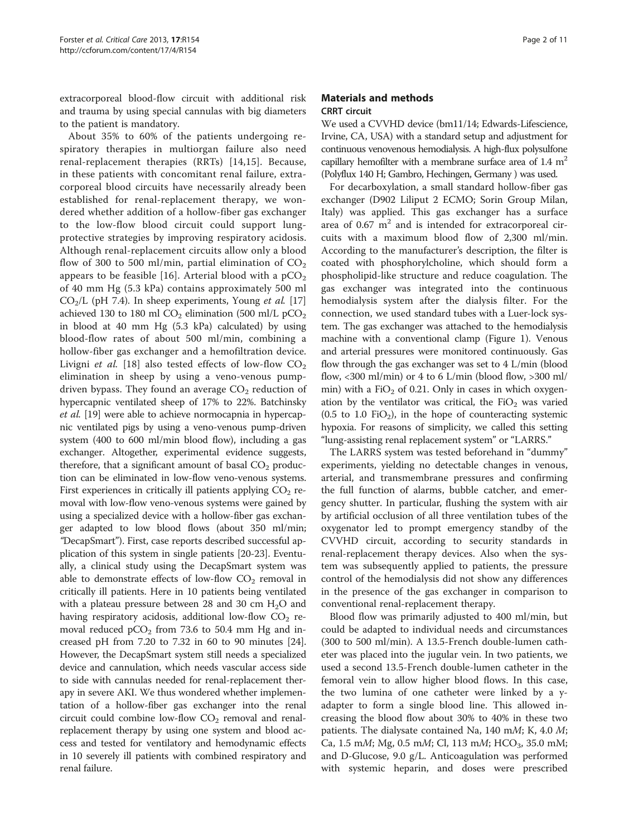extracorporeal blood-flow circuit with additional risk and trauma by using special cannulas with big diameters to the patient is mandatory.

About 35% to 60% of the patients undergoing respiratory therapies in multiorgan failure also need renal-replacement therapies (RRTs) [[14,15](#page-10-0)]. Because, in these patients with concomitant renal failure, extracorporeal blood circuits have necessarily already been established for renal-replacement therapy, we wondered whether addition of a hollow-fiber gas exchanger to the low-flow blood circuit could support lungprotective strategies by improving respiratory acidosis. Although renal-replacement circuits allow only a blood flow of 300 to 500 ml/min, partial elimination of  $CO<sub>2</sub>$ appears to be feasible [[16](#page-10-0)]. Arterial blood with a  $pCO<sub>2</sub>$ of 40 mm Hg (5.3 kPa) contains approximately 500 ml  $CO<sub>2</sub>/L$  (pH 7.4). In sheep experiments, Young *et al.* [[17](#page-10-0)] achieved 130 to 180 ml  $CO<sub>2</sub>$  elimination (500 ml/L pCO<sub>2</sub>) in blood at 40 mm Hg (5.3 kPa) calculated) by using blood-flow rates of about 500 ml/min, combining a hollow-fiber gas exchanger and a hemofiltration device. Livigni *et al.* [[18\]](#page-10-0) also tested effects of low-flow  $CO<sub>2</sub>$ elimination in sheep by using a veno-venous pumpdriven bypass. They found an average  $CO<sub>2</sub>$  reduction of hypercapnic ventilated sheep of 17% to 22%. Batchinsky et al. [\[19\]](#page-10-0) were able to achieve normocapnia in hypercapnic ventilated pigs by using a veno-venous pump-driven system (400 to 600 ml/min blood flow), including a gas exchanger. Altogether, experimental evidence suggests, therefore, that a significant amount of basal  $CO<sub>2</sub>$  production can be eliminated in low-flow veno-venous systems. First experiences in critically ill patients applying  $CO<sub>2</sub>$  removal with low-flow veno-venous systems were gained by using a specialized device with a hollow-fiber gas exchanger adapted to low blood flows (about 350 ml/min; "DecapSmart"). First, case reports described successful application of this system in single patients [\[20-23](#page-10-0)]. Eventually, a clinical study using the DecapSmart system was able to demonstrate effects of low-flow  $CO<sub>2</sub>$  removal in critically ill patients. Here in 10 patients being ventilated with a plateau pressure between 28 and 30 cm  $H_2O$  and having respiratory acidosis, additional low-flow  $CO<sub>2</sub>$  removal reduced  $pCO<sub>2</sub>$  from 73.6 to 50.4 mm Hg and increased pH from  $7.20$  to  $7.32$  in 60 to 90 minutes  $[24]$  $[24]$  $[24]$ . However, the DecapSmart system still needs a specialized device and cannulation, which needs vascular access side to side with cannulas needed for renal-replacement therapy in severe AKI. We thus wondered whether implementation of a hollow-fiber gas exchanger into the renal circuit could combine low-flow  $CO<sub>2</sub>$  removal and renalreplacement therapy by using one system and blood access and tested for ventilatory and hemodynamic effects in 10 severely ill patients with combined respiratory and renal failure.

# Materials and methods CRRT circuit

We used a CVVHD device (bm11/14; Edwards-Lifescience, Irvine, CA, USA) with a standard setup and adjustment for continuous venovenous hemodialysis. A high-flux polysulfone capillary hemofilter with a membrane surface area of  $1.4 \text{ m}^2$ (Polyflux 140 H; Gambro, Hechingen, Germany ) was used.

For decarboxylation, a small standard hollow-fiber gas exchanger (D902 Liliput 2 ECMO; Sorin Group Milan, Italy) was applied. This gas exchanger has a surface area of 0.67  $m<sup>2</sup>$  and is intended for extracorporeal circuits with a maximum blood flow of 2,300 ml/min. According to the manufacturer's description, the filter is coated with phosphorylcholine, which should form a phospholipid-like structure and reduce coagulation. The gas exchanger was integrated into the continuous hemodialysis system after the dialysis filter. For the connection, we used standard tubes with a Luer-lock system. The gas exchanger was attached to the hemodialysis machine with a conventional clamp (Figure [1](#page-2-0)). Venous and arterial pressures were monitored continuously. Gas flow through the gas exchanger was set to 4 L/min (blood flow,  $\langle 300 \text{ ml/min} \rangle$  or 4 to 6 L/min (blood flow,  $>300 \text{ ml}$ / min) with a FiO<sub>2</sub> of 0.21. Only in cases in which oxygenation by the ventilator was critical, the  $FiO<sub>2</sub>$  was varied  $(0.5 \text{ to } 1.0 \text{ FiO}_2)$ , in the hope of counteracting systemic hypoxia. For reasons of simplicity, we called this setting "lung-assisting renal replacement system" or "LARRS."

The LARRS system was tested beforehand in "dummy" experiments, yielding no detectable changes in venous, arterial, and transmembrane pressures and confirming the full function of alarms, bubble catcher, and emergency shutter. In particular, flushing the system with air by artificial occlusion of all three ventilation tubes of the oxygenator led to prompt emergency standby of the CVVHD circuit, according to security standards in renal-replacement therapy devices. Also when the system was subsequently applied to patients, the pressure control of the hemodialysis did not show any differences in the presence of the gas exchanger in comparison to conventional renal-replacement therapy.

Blood flow was primarily adjusted to 400 ml/min, but could be adapted to individual needs and circumstances (300 to 500 ml/min). A 13.5-French double-lumen catheter was placed into the jugular vein. In two patients, we used a second 13.5-French double-lumen catheter in the femoral vein to allow higher blood flows. In this case, the two lumina of one catheter were linked by a yadapter to form a single blood line. This allowed increasing the blood flow about 30% to 40% in these two patients. The dialysate contained Na, 140 mM; K, 4.0 M; Ca, 1.5 mM; Mg, 0.5 mM; Cl, 113 mM; HCO<sub>3</sub>, 35.0 mM; and D-Glucose, 9.0 g/L. Anticoagulation was performed with systemic heparin, and doses were prescribed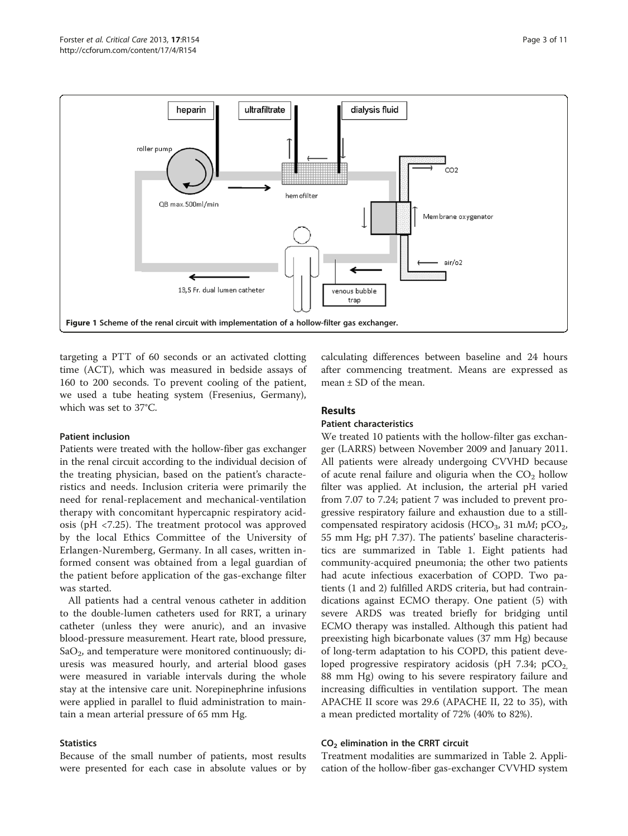<span id="page-2-0"></span>

targeting a PTT of 60 seconds or an activated clotting time (ACT), which was measured in bedside assays of 160 to 200 seconds. To prevent cooling of the patient, we used a tube heating system (Fresenius, Germany), which was set to 37°C.

# Patient inclusion

Patients were treated with the hollow-fiber gas exchanger in the renal circuit according to the individual decision of the treating physician, based on the patient's characteristics and needs. Inclusion criteria were primarily the need for renal-replacement and mechanical-ventilation therapy with concomitant hypercapnic respiratory acidosis (pH <7.25). The treatment protocol was approved by the local Ethics Committee of the University of Erlangen-Nuremberg, Germany. In all cases, written informed consent was obtained from a legal guardian of the patient before application of the gas-exchange filter was started.

All patients had a central venous catheter in addition to the double-lumen catheters used for RRT, a urinary catheter (unless they were anuric), and an invasive blood-pressure measurement. Heart rate, blood pressure,  $SaO<sub>2</sub>$ , and temperature were monitored continuously; diuresis was measured hourly, and arterial blood gases were measured in variable intervals during the whole stay at the intensive care unit. Norepinephrine infusions were applied in parallel to fluid administration to maintain a mean arterial pressure of 65 mm Hg.

#### **Statistics**

Because of the small number of patients, most results were presented for each case in absolute values or by calculating differences between baseline and 24 hours after commencing treatment. Means are expressed as mean ± SD of the mean.

# Results

#### Patient characteristics

We treated 10 patients with the hollow-filter gas exchanger (LARRS) between November 2009 and January 2011. All patients were already undergoing CVVHD because of acute renal failure and oliguria when the  $CO<sub>2</sub>$  hollow filter was applied. At inclusion, the arterial pH varied from 7.07 to 7.24; patient 7 was included to prevent progressive respiratory failure and exhaustion due to a stillcompensated respiratory acidosis (HCO<sub>3</sub>, 31 mM; pCO<sub>2</sub>, 55 mm Hg; pH 7.37). The patients' baseline characteristics are summarized in Table [1.](#page-3-0) Eight patients had community-acquired pneumonia; the other two patients had acute infectious exacerbation of COPD. Two patients (1 and 2) fulfilled ARDS criteria, but had contraindications against ECMO therapy. One patient (5) with severe ARDS was treated briefly for bridging until ECMO therapy was installed. Although this patient had preexisting high bicarbonate values (37 mm Hg) because of long-term adaptation to his COPD, this patient developed progressive respiratory acidosis (pH 7.34;  $pCO<sub>2</sub>$ , 88 mm Hg) owing to his severe respiratory failure and increasing difficulties in ventilation support. The mean APACHE II score was 29.6 (APACHE II, 22 to 35), with a mean predicted mortality of 72% (40% to 82%).

#### $CO<sub>2</sub>$  elimination in the CRRT circuit

Treatment modalities are summarized in Table [2](#page-3-0). Application of the hollow-fiber gas-exchanger CVVHD system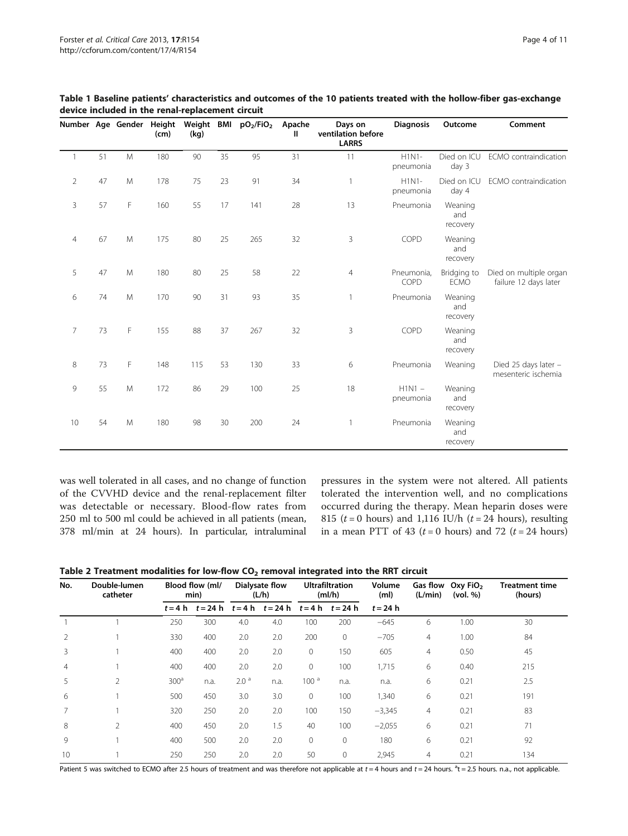|                |        |   | Number Age Gender Height<br>(cm) | (kg) |    | Weight BMI pO2/FiO2 | Apache<br>Ш | Days on<br>ventilation before<br><b>LARRS</b> | <b>Diagnosis</b>      | Outcome                    | Comment                                         |
|----------------|--------|---|----------------------------------|------|----|---------------------|-------------|-----------------------------------------------|-----------------------|----------------------------|-------------------------------------------------|
| $\mathbf{1}$   | 51     | M | 180                              | 90   | 35 | 95                  | 31          | 11                                            | $H1N1-$<br>pneumonia  | Died on ICU<br>day 3       | ECMO contraindication                           |
| $\overline{2}$ | 47     | M | 178                              | 75   | 23 | 91                  | 34          | $\mathbf{1}$                                  | $H1N1-$<br>pneumonia  | Died on ICU<br>day 4       | ECMO contraindication                           |
| 3              | 57     | F | 160                              | 55   | 17 | 141                 | 28          | 13                                            | Pneumonia             | Weaning<br>and<br>recovery |                                                 |
| $\overline{4}$ | 67     | M | 175                              | 80   | 25 | 265                 | 32          | 3                                             | COPD                  | Weaning<br>and<br>recovery |                                                 |
| 5              | 47     | M | 180                              | 80   | 25 | 58                  | 22          | 4                                             | Pneumonia,<br>COPD    | Bridging to<br><b>ECMO</b> | Died on multiple organ<br>failure 12 days later |
| 6              | $74\,$ | M | 170                              | 90   | 31 | 93                  | 35          | $\mathbf{1}$                                  | Pneumonia             | Weaning<br>and<br>recovery |                                                 |
| $\overline{7}$ | 73     | F | 155                              | 88   | 37 | 267                 | 32          | 3                                             | COPD                  | Weaning<br>and<br>recovery |                                                 |
| 8              | 73     | F | 148                              | 115  | 53 | 130                 | 33          | 6                                             | Pneumonia             | Weaning                    | Died 25 days later -<br>mesenteric ischemia     |
| 9              | 55     | M | 172                              | 86   | 29 | 100                 | 25          | 18                                            | $H1N1 -$<br>pneumonia | Weaning<br>and<br>recovery |                                                 |
| 10             | 54     | M | 180                              | 98   | 30 | 200                 | 24          | $\mathbf{1}$                                  | Pneumonia             | Weaning<br>and<br>recovery |                                                 |

<span id="page-3-0"></span>Table 1 Baseline patients' characteristics and outcomes of the 10 patients treated with the hollow-fiber gas-exchange device included in the renal-replacement circuit

was well tolerated in all cases, and no change of function of the CVVHD device and the renal-replacement filter was detectable or necessary. Blood-flow rates from 250 ml to 500 ml could be achieved in all patients (mean, 378 ml/min at 24 hours). In particular, intraluminal

pressures in the system were not altered. All patients tolerated the intervention well, and no complications occurred during the therapy. Mean heparin doses were 815 ( $t = 0$  hours) and 1,116 IU/h ( $t = 24$  hours), resulting in a mean PTT of 43 ( $t = 0$  hours) and 72 ( $t = 24$  hours)

Table 2 Treatment modalities for low-flow  $CO<sub>2</sub>$  removal integrated into the RRT circuit

| No.            | Double-lumen<br>catheter | Blood flow (ml/<br>min) |            | Dialysate flow<br>(L/h) |                      | <b>Ultrafiltration</b><br>(mI/h) |                      | Volume<br>(m <sub>l</sub> ) | (L/min)        | Gas flow Oxy FiO <sub>2</sub><br>(vol. %) | Treatment time<br>(hours) |  |
|----------------|--------------------------|-------------------------|------------|-------------------------|----------------------|----------------------------------|----------------------|-----------------------------|----------------|-------------------------------------------|---------------------------|--|
|                |                          | $t = 4 h$               | $t = 24 h$ |                         | $t = 4 h$ $t = 24 h$ |                                  | $t = 4 h$ $t = 24 h$ | $t = 24 h$                  |                |                                           |                           |  |
|                |                          | 250                     | 300        | 4.0                     | 4.0                  | 100                              | 200                  | $-645$                      | 6              | 1.00                                      | 30                        |  |
| $\overline{2}$ |                          | 330                     | 400        | 2.0                     | 2.0                  | 200                              | $\overline{0}$       | $-705$                      | $\overline{4}$ | 1.00                                      | 84                        |  |
| 3              |                          | 400                     | 400        | 2.0                     | 2.0                  | $\mathbf{0}$                     | 150                  | 605                         | $\overline{4}$ | 0.50                                      | 45                        |  |
| 4              |                          | 400                     | 400        | 2.0                     | 2.0                  | $\Omega$                         | 100                  | 1,715                       | 6              | 0.40                                      | 215                       |  |
| 5              | $\overline{2}$           | 300 <sup>a</sup>        | n.a.       | 2.0 <sup>a</sup>        | n.a.                 | 100 <sup>a</sup>                 | n.a.                 | n.a.                        | 6              | 0.21                                      | 2.5                       |  |
| 6              |                          | 500                     | 450        | 3.0                     | 3.0                  | $\mathbf{0}$                     | 100                  | 1,340                       | 6              | 0.21                                      | 191                       |  |
|                |                          | 320                     | 250        | 2.0                     | 2.0                  | 100                              | 150                  | $-3,345$                    | $\overline{4}$ | 0.21                                      | 83                        |  |
| 8              | $\overline{2}$           | 400                     | 450        | 2.0                     | 1.5                  | 40                               | 100                  | $-2,055$                    | 6              | 0.21                                      | 71                        |  |
| 9              |                          | 400                     | 500        | 2.0                     | 2.0                  | $\mathbf{0}$                     | $\mathbf{0}$         | 180                         | 6              | 0.21                                      | 92                        |  |
| 10             |                          | 250                     | 250        | 2.0                     | 2.0                  | 50                               | $\mathbf{0}$         | 2,945                       | 4              | 0.21                                      | 134                       |  |

Patient 5 was switched to ECMO after 2.5 hours of treatment and was therefore not applicable at  $t = 4$  hours and  $t = 24$  hours.  $a = 2.5$  hours. n.a., not applicable.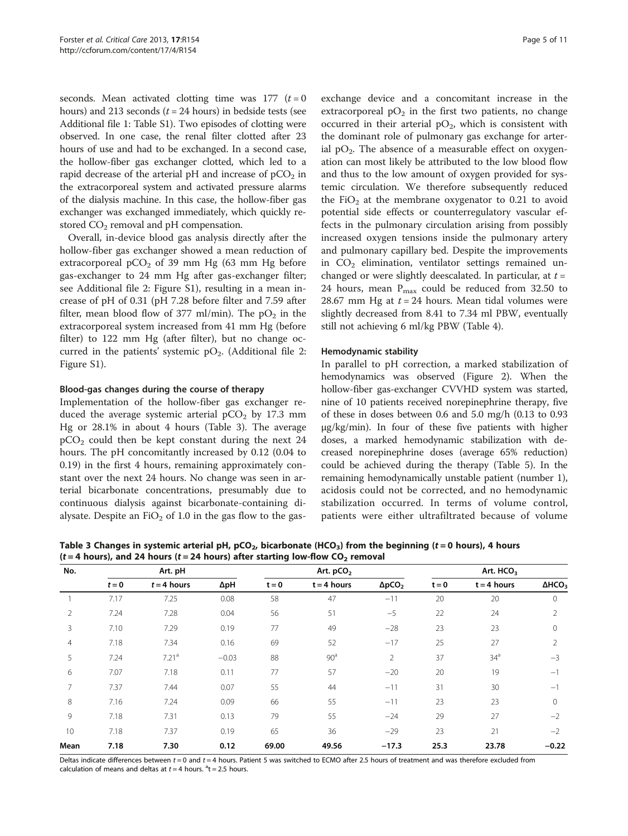seconds. Mean activated clotting time was  $177$   $(t = 0)$ hours) and 213 seconds ( $t = 24$  hours) in bedside tests (see Additional file [1:](#page-9-0) Table S1). Two episodes of clotting were observed. In one case, the renal filter clotted after 23 hours of use and had to be exchanged. In a second case, the hollow-fiber gas exchanger clotted, which led to a rapid decrease of the arterial pH and increase of  $pCO<sub>2</sub>$  in the extracorporeal system and activated pressure alarms of the dialysis machine. In this case, the hollow-fiber gas exchanger was exchanged immediately, which quickly restored  $CO<sub>2</sub>$  removal and pH compensation.

Overall, in-device blood gas analysis directly after the hollow-fiber gas exchanger showed a mean reduction of extracorporeal  $pCO<sub>2</sub>$  of 39 mm Hg (63 mm Hg before gas-exchanger to 24 mm Hg after gas-exchanger filter; see Additional file [2](#page-9-0): Figure S1), resulting in a mean increase of pH of 0.31 (pH 7.28 before filter and 7.59 after filter, mean blood flow of 377 ml/min). The  $pO<sub>2</sub>$  in the extracorporeal system increased from 41 mm Hg (before filter) to 122 mm Hg (after filter), but no change occurred in the patients' systemic  $pO_2$ . (Additional file [2](#page-9-0): Figure S1).

# Blood-gas changes during the course of therapy

Implementation of the hollow-fiber gas exchanger reduced the average systemic arterial  $pCO<sub>2</sub>$  by 17.3 mm Hg or 28.1% in about 4 hours (Table 3). The average  $pCO<sub>2</sub>$  could then be kept constant during the next 24 hours. The pH concomitantly increased by 0.12 (0.04 to 0.19) in the first 4 hours, remaining approximately constant over the next 24 hours. No change was seen in arterial bicarbonate concentrations, presumably due to continuous dialysis against bicarbonate-containing dialysate. Despite an  $FiO<sub>2</sub>$  of 1.0 in the gas flow to the gas-

exchange device and a concomitant increase in the extracorporeal  $pO_2$  in the first two patients, no change occurred in their arterial  $pO_2$ , which is consistent with the dominant role of pulmonary gas exchange for arterial  $pO_2$ . The absence of a measurable effect on oxygenation can most likely be attributed to the low blood flow and thus to the low amount of oxygen provided for systemic circulation. We therefore subsequently reduced the FiO<sub>2</sub> at the membrane oxygenator to 0.21 to avoid potential side effects or counterregulatory vascular effects in the pulmonary circulation arising from possibly increased oxygen tensions inside the pulmonary artery and pulmonary capillary bed. Despite the improvements in  $CO<sub>2</sub>$  elimination, ventilator settings remained unchanged or were slightly deescalated. In particular, at  $t =$ 24 hours, mean  $P_{\text{max}}$  could be reduced from 32.50 to 28.67 mm Hg at  $t = 24$  hours. Mean tidal volumes were slightly decreased from 8.41 to 7.34 ml PBW, eventually still not achieving 6 ml/kg PBW (Table [4](#page-5-0)).

# Hemodynamic stability

In parallel to pH correction, a marked stabilization of hemodynamics was observed (Figure [2](#page-6-0)). When the hollow-fiber gas-exchanger CVVHD system was started, nine of 10 patients received norepinephrine therapy, five of these in doses between 0.6 and 5.0 mg/h (0.13 to 0.93 μg/kg/min). In four of these five patients with higher doses, a marked hemodynamic stabilization with decreased norepinephrine doses (average 65% reduction) could be achieved during the therapy (Table [5\)](#page-7-0). In the remaining hemodynamically unstable patient (number 1), acidosis could not be corrected, and no hemodynamic stabilization occurred. In terms of volume control, patients were either ultrafiltrated because of volume

Table 3 Changes in systemic arterial pH,  $pCO<sub>2</sub>$ , bicarbonate (HCO<sub>3</sub>) from the beginning (t = 0 hours), 4 hours  $(t = 4$  hours), and 24 hours ( $t = 24$  hours) after starting low-flow CO<sub>2</sub> removal

| No.            |         | Art. pH           |         |         | Art. pCO <sub>2</sub> |                | Art. HCO <sub>3</sub> |                 |                  |  |  |  |
|----------------|---------|-------------------|---------|---------|-----------------------|----------------|-----------------------|-----------------|------------------|--|--|--|
|                | $t = 0$ | $t = 4$ hours     | ΔpH     | $t = 0$ | $t = 4$ hours         | $\Delta pCO2$  | $t = 0$               | $t = 4$ hours   | $\triangle HCO3$ |  |  |  |
|                | 7.17    | 7.25              | 0.08    | 58      | 47                    | $-11$          | 20                    | 20              | $\Omega$         |  |  |  |
| $\overline{2}$ | 7.24    | 7.28              | 0.04    | 56      | 51                    | $-5$           | 22                    | 24              | 2                |  |  |  |
| 3              | 7.10    | 7.29              | 0.19    | 77      | 49                    | $-28$          | 23                    | 23              | $\mathbf{0}$     |  |  |  |
| 4              | 7.18    | 7.34              | 0.16    | 69      | 52                    | $-17$          | 25                    | 27              | 2                |  |  |  |
| 5              | 7.24    | 7.21 <sup>a</sup> | $-0.03$ | 88      | 90 <sup>a</sup>       | $\overline{2}$ | 37                    | 34 <sup>a</sup> | $-3$             |  |  |  |
| 6              | 7.07    | 7.18              | 0.11    | 77      | 57                    | $-20$          | 20                    | 19              | $-1$             |  |  |  |
| 7              | 7.37    | 7.44              | 0.07    | 55      | 44                    | $-11$          | 31                    | 30              | $-1$             |  |  |  |
| 8              | 7.16    | 7.24              | 0.09    | 66      | 55                    | $-11$          | 23                    | 23              | $\mathbf{0}$     |  |  |  |
| 9              | 7.18    | 7.31              | 0.13    | 79      | 55                    | $-24$          | 29                    | 27              | $-2$             |  |  |  |
| 10             | 7.18    | 7.37              | 0.19    | 65      | 36                    | $-29$          | 23                    | 21              | $-2$             |  |  |  |
| Mean           | 7.18    | 7.30              | 0.12    | 69.00   | 49.56                 | $-17.3$        | 25.3                  | 23.78           | $-0.22$          |  |  |  |

Deltas indicate differences between  $t = 0$  and  $t = 4$  hours. Patient 5 was switched to ECMO after 2.5 hours of treatment and was therefore excluded from calculation of means and deltas at  $t = 4$  hours.  $a<sup>a</sup>t = 2.5$  hours.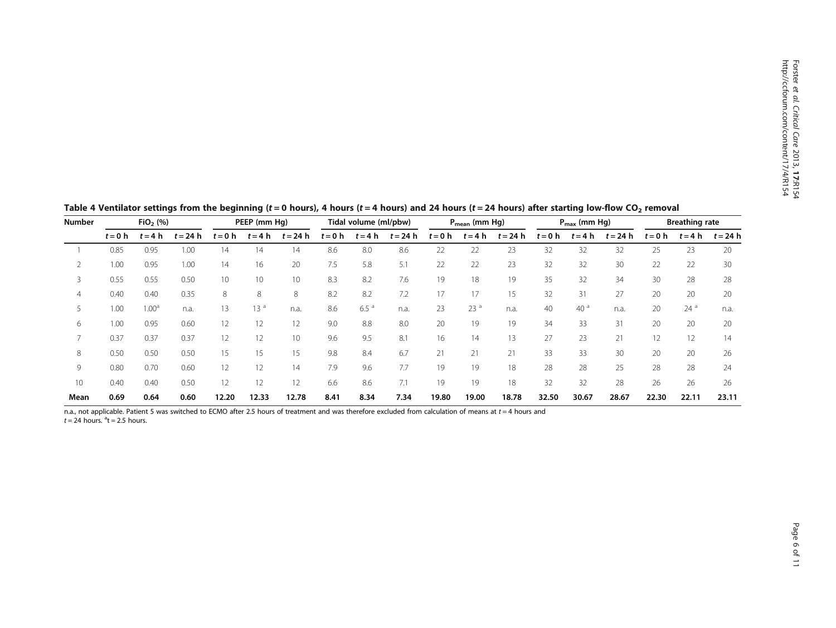| <b>Number</b>  | $FiO2$ (%) |                   |            | PEEP (mm Hq) |                 |                 | Tidal volume (ml/pbw) |                  |            | $P_{mean}$ (mm Hg) |                 |            | $P_{\text{max}}$ (mm Hg) |                 |            | <b>Breathing rate</b> |                 |            |
|----------------|------------|-------------------|------------|--------------|-----------------|-----------------|-----------------------|------------------|------------|--------------------|-----------------|------------|--------------------------|-----------------|------------|-----------------------|-----------------|------------|
|                | $t = 0$ h  | $t = 4 h$         | $t = 24 h$ | $t = 0$ h    | $t = 4 h$       | $t = 24 h$      | $t = 0$ h             | $t = 4 h$        | $t = 24 h$ | $t = 0$ h          | $t = 4 h$       | $t = 24 h$ | $t = 0$ h                | $t = 4 h$       | $t = 24 h$ | $t = 0$ h             | $t = 4 h$       | $t = 24 h$ |
|                | 0.85       | 0.95              | 1.00       | 14           | 14              | 14              | 8.6                   | 8.0              | 8.6        | 22                 | 22              | 23         | 32                       | 32              | 32         | 25                    | 23              | 20         |
|                | 1.00       | 0.95              | 1.00       | 14           | 16              | 20              | 7.5                   | 5.8              | 5.1        | 22                 | 22              | 23         | 32                       | 32              | 30         | 22                    | 22              | 30         |
| 3              | 0.55       | 0.55              | 0.50       | 10           | 10              | 10 <sup>°</sup> | 8.3                   | 8.2              | 7.6        | 19                 | 18              | 19         | 35                       | 32              | 34         | 30                    | 28              | 28         |
| $\overline{4}$ | 0.40       | 0.40              | 0.35       | 8            | 8               | 8               | 8.2                   | 8.2              | 7.2        | 17                 | 17              | 15         | 32                       | 31              | 27         | 20                    | 20              | 20         |
|                | 1.00       | 1.00 <sup>a</sup> | n.a.       | 13           | 13 <sup>a</sup> | n.a.            | 8.6                   | 6.5 <sup>a</sup> | n.a.       | 23                 | 23 <sup>a</sup> | n.a.       | 40                       | 40 <sup>a</sup> | n.a.       | 20                    | 24 <sup>a</sup> | n.a.       |
| 6              | 1.00       | 0.95              | 0.60       | 12           | 12              | 12              | 9.0                   | 8.8              | 8.0        | 20                 | 19              | 19         | 34                       | 33              | 31         | 20                    | 20              | 20         |
|                | 0.37       | 0.37              | 0.37       | 12           | 12              | 10 <sup>°</sup> | 9.6                   | 9.5              | 8.1        | 16                 | 14              | 13         | 27                       | 23              | 21         | 12                    |                 | 14         |
| 8              | 0.50       | 0.50              | 0.50       | 15           | 15              | 15              | 9.8                   | 8.4              | 6.7        | 21                 | 21              | 21         | 33                       | 33              | 30         | 20                    | 20              | 26         |
| 9              | 0.80       | 0.70              | 0.60       | 12           | 12              | 14              | 7.9                   | 9.6              | 7.7        | 19                 | 19              | 18         | 28                       | 28              | 25         | 28                    | 28              | 24         |
| 10             | 0.40       | 0.40              | 0.50       | 12           | 12              | 12              | 6.6                   | 8.6              | 7.1        | 19                 | 19              | 18         | 32                       | 32              | 28         | 26                    | 26              | 26         |
| Mean           | 0.69       | 0.64              | 0.60       | 12.20        | 12.33           | 12.78           | 8.41                  | 8.34             | 7.34       | 19.80              | 19.00           | 18.78      | 32.50                    | 30.67           | 28.67      | 22.30                 | 22.11           | 23.11      |

<span id="page-5-0"></span>Table 4 Ventilator settings from the beginning (t = 0 hours), 4 hours (t = 4 hours) and 24 hours (t = 24 hours) after starting low-flow CO<sub>2</sub> removal

n.a., not applicable. Patient 5 was switched to ECMO after 2.5 hours of treatment and was therefore excluded from calculation of means at  $t = 4$  hours and  $t = 24$  hours.  $a<sup>a</sup>t = 2.5$  hours.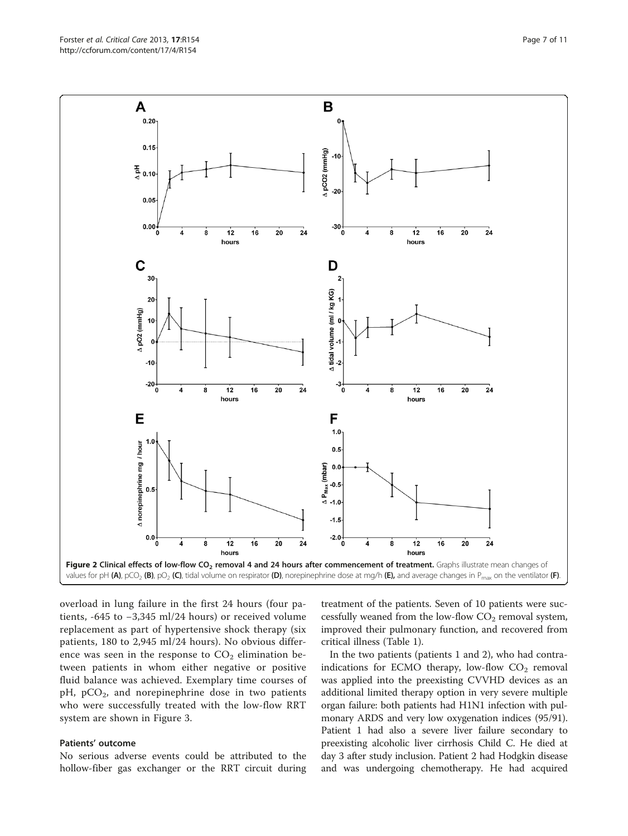<span id="page-6-0"></span>

overload in lung failure in the first 24 hours (four patients, -645 to −3,345 ml/24 hours) or received volume replacement as part of hypertensive shock therapy (six patients, 180 to 2,945 ml/24 hours). No obvious difference was seen in the response to  $CO<sub>2</sub>$  elimination between patients in whom either negative or positive fluid balance was achieved. Exemplary time courses of  $pH$ ,  $pCO<sub>2</sub>$ , and norepinephrine dose in two patients who were successfully treated with the low-flow RRT system are shown in Figure [3](#page-8-0).

# Patients' outcome

No serious adverse events could be attributed to the hollow-fiber gas exchanger or the RRT circuit during treatment of the patients. Seven of 10 patients were successfully weaned from the low-flow  $CO<sub>2</sub>$  removal system, improved their pulmonary function, and recovered from critical illness (Table [1\)](#page-3-0).

In the two patients (patients 1 and 2), who had contraindications for ECMO therapy, low-flow  $CO<sub>2</sub>$  removal was applied into the preexisting CVVHD devices as an additional limited therapy option in very severe multiple organ failure: both patients had H1N1 infection with pulmonary ARDS and very low oxygenation indices (95/91). Patient 1 had also a severe liver failure secondary to preexisting alcoholic liver cirrhosis Child C. He died at day 3 after study inclusion. Patient 2 had Hodgkin disease and was undergoing chemotherapy. He had acquired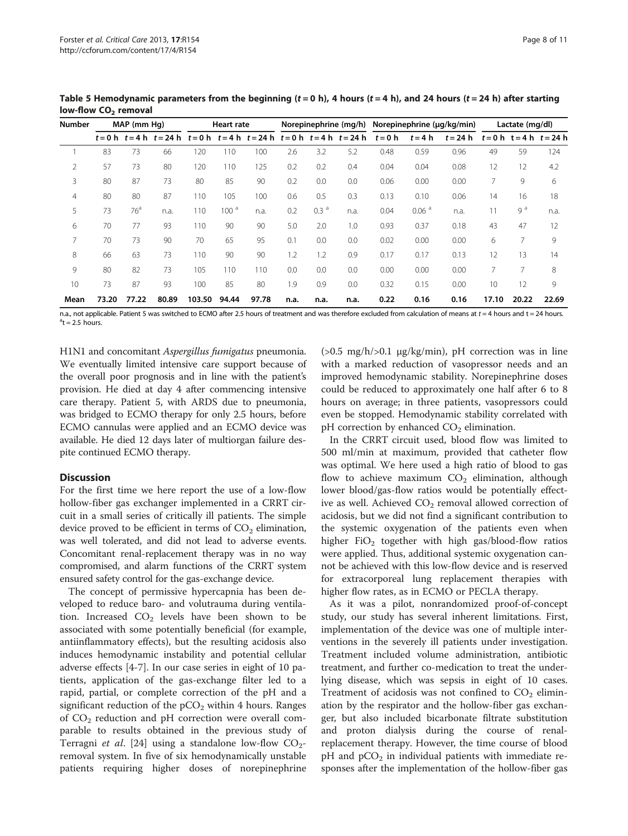| <b>Number</b> |       | MAP (mm Hq)     |       | <b>Heart rate</b> |                  |       | Norepinephrine (mg/h) Norepinephrine (µg/kg/min) |                  |                                                      |      |                   |                                           | Lactate (mg/dl) |                |       |  |
|---------------|-------|-----------------|-------|-------------------|------------------|-------|--------------------------------------------------|------------------|------------------------------------------------------|------|-------------------|-------------------------------------------|-----------------|----------------|-------|--|
|               |       |                 |       |                   |                  |       |                                                  |                  | t=0h t=4h t=24h t=0h t=4h t=24h t=0h t=4h t=24h t=0h |      | $t = 4 h$         | $t = 24 h$ $t = 0 h$ $t = 4 h$ $t = 24 h$ |                 |                |       |  |
|               | 83    | 73              | 66    | 120               | 110              | 100   | 2.6                                              | 3.2              | 5.2                                                  | 0.48 | 0.59              | 0.96                                      | 49              | 59             | 124   |  |
| 2             | 57    | 73              | 80    | 120               | 110              | 125   | 0.2                                              | 0.2              | 0.4                                                  | 0.04 | 0.04              | 0.08                                      | 12              | 12             | 4.2   |  |
| 3             | 80    | 87              | 73    | 80                | 85               | 90    | 0.2                                              | 0.0              | 0.0                                                  | 0.06 | 0.00              | 0.00                                      |                 | 9              | 6     |  |
| 4             | 80    | 80              | 87    | 110               | 105              | 100   | 0.6                                              | 0.5              | 0.3                                                  | 0.13 | 0.10              | 0.06                                      | 14              | 16             | 18    |  |
| 5             | 73    | 76 <sup>a</sup> | n.a.  | 110               | 100 <sup>a</sup> | n.a.  | 0.2                                              | 0.3 <sup>a</sup> | n.a.                                                 | 0.04 | 0.06 <sup>a</sup> | n.a.                                      | 11              | 9 <sup>a</sup> | n.a.  |  |
| 6             | 70    | 77              | 93    | 110               | 90               | 90    | 5.0                                              | 2.0              | 1.0                                                  | 0.93 | 0.37              | 0.18                                      | 43              | 47             | 12    |  |
|               | 70    | 73              | 90    | 70                | 65               | 95    | 0.1                                              | 0.0              | 0.0                                                  | 0.02 | 0.00              | 0.00                                      | 6               | 7              | 9     |  |
| 8             | 66    | 63              | 73    | 110               | 90               | 90    | 1.2                                              | 1.2              | 0.9                                                  | 0.17 | 0.17              | 0.13                                      | 12              | 13             | 14    |  |
| 9             | 80    | 82              | 73    | 105               | 110              | 110   | 0.0                                              | 0.0              | 0.0                                                  | 0.00 | 0.00              | 0.00                                      |                 | 7              | 8     |  |
| 10            | 73    | 87              | 93    | 100               | 85               | 80    | 1.9                                              | 0.9              | 0.0                                                  | 0.32 | 0.15              | 0.00                                      | 10              | 12             | 9     |  |
| Mean          | 73.20 | 77.22           | 80.89 | 103.50            | 94.44            | 97.78 | n.a.                                             | n.a.             | n.a.                                                 | 0.22 | 0.16              | 0.16                                      | 17.10           | 20.22          | 22.69 |  |

<span id="page-7-0"></span>Table 5 Hemodynamic parameters from the beginning ( $t = 0$  h), 4 hours ( $t = 4$  h), and 24 hours ( $t = 24$  h) after starting low-flow  $CO<sub>2</sub>$  removal

n.a., not applicable. Patient 5 was switched to ECMO after 2.5 hours of treatment and was therefore excluded from calculation of means at  $t = 4$  hours and  $t = 24$  hours.  $^{\circ}$ t = 2.5 hours.

H1N1 and concomitant Aspergillus fumigatus pneumonia. We eventually limited intensive care support because of the overall poor prognosis and in line with the patient's provision. He died at day 4 after commencing intensive care therapy. Patient 5, with ARDS due to pneumonia, was bridged to ECMO therapy for only 2.5 hours, before ECMO cannulas were applied and an ECMO device was available. He died 12 days later of multiorgan failure despite continued ECMO therapy.

# **Discussion**

For the first time we here report the use of a low-flow hollow-fiber gas exchanger implemented in a CRRT circuit in a small series of critically ill patients. The simple device proved to be efficient in terms of  $CO<sub>2</sub>$  elimination, was well tolerated, and did not lead to adverse events. Concomitant renal-replacement therapy was in no way compromised, and alarm functions of the CRRT system ensured safety control for the gas-exchange device.

The concept of permissive hypercapnia has been developed to reduce baro- and volutrauma during ventilation. Increased  $CO<sub>2</sub>$  levels have been shown to be associated with some potentially beneficial (for example, antiinflammatory effects), but the resulting acidosis also induces hemodynamic instability and potential cellular adverse effects [\[4](#page-9-0)-[7\]](#page-9-0). In our case series in eight of 10 patients, application of the gas-exchange filter led to a rapid, partial, or complete correction of the pH and a significant reduction of the  $pCO<sub>2</sub>$  within 4 hours. Ranges of  $CO<sub>2</sub>$  reduction and pH correction were overall comparable to results obtained in the previous study of Terragni et al. [[24\]](#page-10-0) using a standalone low-flow  $CO_2$ removal system. In five of six hemodynamically unstable patients requiring higher doses of norepinephrine

( $>0.5$  mg/h/ $>0.1$  μg/kg/min), pH correction was in line with a marked reduction of vasopressor needs and an improved hemodynamic stability. Norepinephrine doses could be reduced to approximately one half after 6 to 8 hours on average; in three patients, vasopressors could even be stopped. Hemodynamic stability correlated with pH correction by enhanced  $CO<sub>2</sub>$  elimination.

In the CRRT circuit used, blood flow was limited to 500 ml/min at maximum, provided that catheter flow was optimal. We here used a high ratio of blood to gas flow to achieve maximum  $CO<sub>2</sub>$  elimination, although lower blood/gas-flow ratios would be potentially effective as well. Achieved CO<sub>2</sub> removal allowed correction of acidosis, but we did not find a significant contribution to the systemic oxygenation of the patients even when higher  $FiO<sub>2</sub>$  together with high gas/blood-flow ratios were applied. Thus, additional systemic oxygenation cannot be achieved with this low-flow device and is reserved for extracorporeal lung replacement therapies with higher flow rates, as in ECMO or PECLA therapy.

As it was a pilot, nonrandomized proof-of-concept study, our study has several inherent limitations. First, implementation of the device was one of multiple interventions in the severely ill patients under investigation. Treatment included volume administration, antibiotic treatment, and further co-medication to treat the underlying disease, which was sepsis in eight of 10 cases. Treatment of acidosis was not confined to  $CO<sub>2</sub>$  elimination by the respirator and the hollow-fiber gas exchanger, but also included bicarbonate filtrate substitution and proton dialysis during the course of renalreplacement therapy. However, the time course of blood  $pH$  and  $pCO<sub>2</sub>$  in individual patients with immediate responses after the implementation of the hollow-fiber gas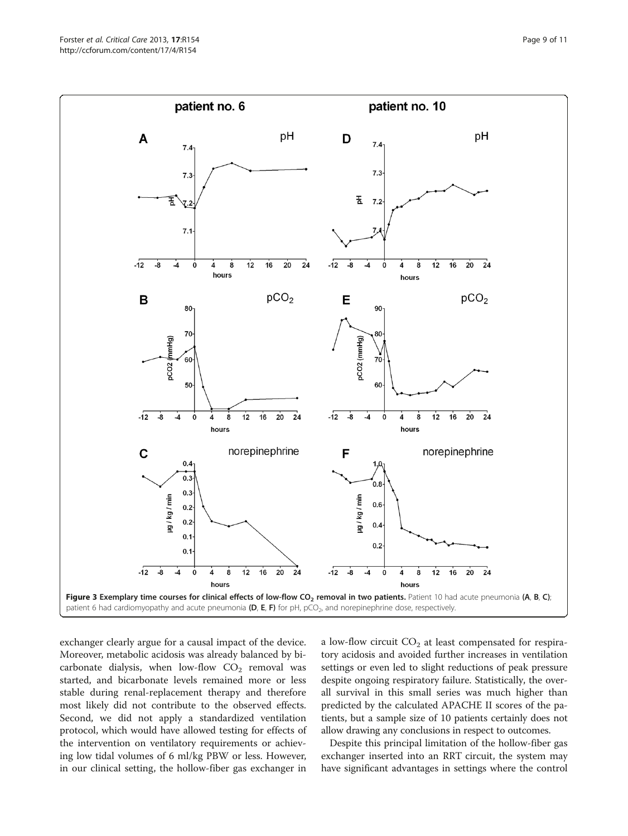<span id="page-8-0"></span>

exchanger clearly argue for a causal impact of the device. Moreover, metabolic acidosis was already balanced by bicarbonate dialysis, when low-flow  $CO<sub>2</sub>$  removal was started, and bicarbonate levels remained more or less stable during renal-replacement therapy and therefore most likely did not contribute to the observed effects. Second, we did not apply a standardized ventilation protocol, which would have allowed testing for effects of the intervention on ventilatory requirements or achieving low tidal volumes of 6 ml/kg PBW or less. However, in our clinical setting, the hollow-fiber gas exchanger in

a low-flow circuit  $CO<sub>2</sub>$  at least compensated for respiratory acidosis and avoided further increases in ventilation settings or even led to slight reductions of peak pressure despite ongoing respiratory failure. Statistically, the overall survival in this small series was much higher than predicted by the calculated APACHE II scores of the patients, but a sample size of 10 patients certainly does not allow drawing any conclusions in respect to outcomes.

Despite this principal limitation of the hollow-fiber gas exchanger inserted into an RRT circuit, the system may have significant advantages in settings where the control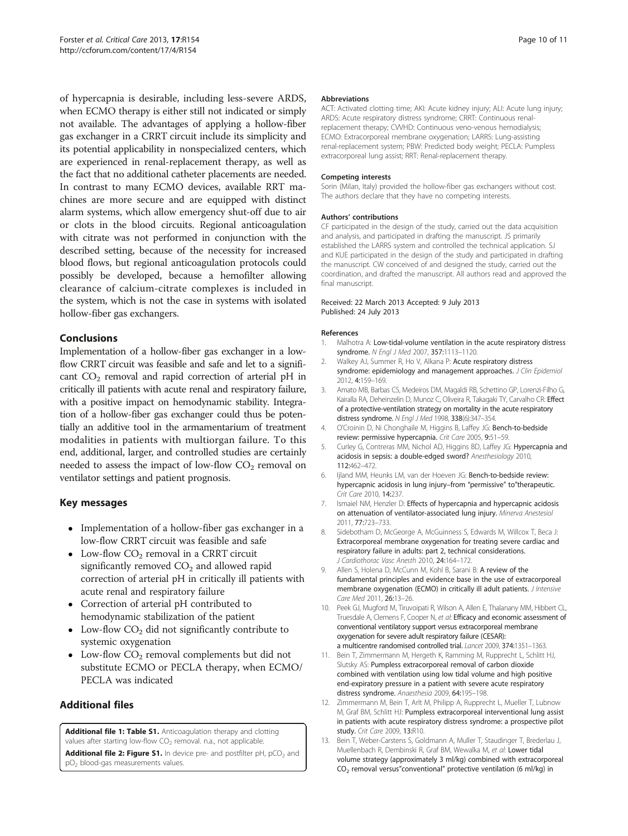<span id="page-9-0"></span>of hypercapnia is desirable, including less-severe ARDS, when ECMO therapy is either still not indicated or simply not available. The advantages of applying a hollow-fiber gas exchanger in a CRRT circuit include its simplicity and its potential applicability in nonspecialized centers, which are experienced in renal-replacement therapy, as well as the fact that no additional catheter placements are needed. In contrast to many ECMO devices, available RRT machines are more secure and are equipped with distinct alarm systems, which allow emergency shut-off due to air or clots in the blood circuits. Regional anticoagulation with citrate was not performed in conjunction with the described setting, because of the necessity for increased blood flows, but regional anticoagulation protocols could possibly be developed, because a hemofilter allowing clearance of calcium-citrate complexes is included in the system, which is not the case in systems with isolated hollow-fiber gas exchangers.

# Conclusions

Implementation of a hollow-fiber gas exchanger in a lowflow CRRT circuit was feasible and safe and let to a significant  $CO<sub>2</sub>$  removal and rapid correction of arterial pH in critically ill patients with acute renal and respiratory failure, with a positive impact on hemodynamic stability. Integration of a hollow-fiber gas exchanger could thus be potentially an additive tool in the armamentarium of treatment modalities in patients with multiorgan failure. To this end, additional, larger, and controlled studies are certainly needed to assess the impact of low-flow  $CO<sub>2</sub>$  removal on ventilator settings and patient prognosis.

# Key messages

- Implementation of a hollow-fiber gas exchanger in a low-flow CRRT circuit was feasible and safe
- Low-flow  $CO<sub>2</sub>$  removal in a CRRT circuit significantly removed  $CO<sub>2</sub>$  and allowed rapid correction of arterial pH in critically ill patients with acute renal and respiratory failure
- Correction of arterial pH contributed to hemodynamic stabilization of the patient
- Low-flow  $CO<sub>2</sub>$  did not significantly contribute to systemic oxygenation
- Low-flow  $CO<sub>2</sub>$  removal complements but did not substitute ECMO or PECLA therapy, when ECMO/ PECLA was indicated

# Additional files

[Additional file 1: Table S1.](http://www.biomedcentral.com/content/supplementary/cc12833-S1.doc) Anticoagulation therapy and clotting values after starting low-flow  $CO<sub>2</sub>$  removal. n.a., not applicable.

[Additional file 2: Figure S1.](http://www.biomedcentral.com/content/supplementary/cc12833-S2.tiff) In device pre- and postfilter pH,  $pCO<sub>2</sub>$  and pO2 blood-gas measurements values.

#### Abbreviations

ACT: Activated clotting time; AKI: Acute kidney injury; ALI: Acute lung injury; ARDS: Acute respiratory distress syndrome; CRRT: Continuous renalreplacement therapy; CVVHD: Continuous veno-venous hemodialysis; ECMO: Extracorporeal membrane oxygenation; LARRS: Lung-assisting renal-replacement system; PBW: Predicted body weight; PECLA: Pumpless extracorporeal lung assist; RRT: Renal-replacement therapy.

#### Competing interests

Sorin (Milan, Italy) provided the hollow-fiber gas exchangers without cost. The authors declare that they have no competing interests.

# Authors' contributions

CF participated in the design of the study, carried out the data acquisition and analysis, and participated in drafting the manuscript. JS primarily established the LARRS system and controlled the technical application. SJ and KUE participated in the design of the study and participated in drafting the manuscript. CW conceived of and designed the study, carried out the coordination, and drafted the manuscript. All authors read and approved the final manuscript.

#### Received: 22 March 2013 Accepted: 9 July 2013 Published: 24 July 2013

#### References

- Malhotra A: Low-tidal-volume ventilation in the acute respiratory distress syndrome. N Engl J Med 2007, 357:1113-1120.
- 2. Walkey AJ, Summer R, Ho V, Alkana P: Acute respiratory distress syndrome: epidemiology and management approaches. J Clin Epidemiol 2012, 4:159–169.
- 3. Amato MB, Barbas CS, Medeiros DM, Magaldi RB, Schettino GP, Lorenzi-Filho G, Kairalla RA, Deheinzelin D, Munoz C, Oliveira R, Takagaki TY, Carvalho CR: Effect of a protective-ventilation strategy on mortality in the acute respiratory distress syndrome. N Engl J Med 1998, 338(6):347–354.
- 4. O'Croinin D, Ni Chonghaile M, Higgins B, Laffey JG: Bench-to-bedside review: permissive hypercapnia. Crit Care 2005, 9:51–59.
- 5. Curley G, Contreras MM, Nichol AD, Higgins BD, Laffey JG: Hypercapnia and acidosis in sepsis: a double-edged sword? Anesthesiology 2010, 112:462–472.
- 6. Ijland MM, Heunks LM, van der Hoeven JG: Bench-to-bedside review: hypercapnic acidosis in lung injury–from "permissive" to"therapeutic. Crit Care 2010, 14:237.
- 7. Ismaiel NM, Henzler D: Effects of hypercapnia and hypercapnic acidosis on attenuation of ventilator-associated lung injury. Minerva Anestesiol 2011, 77:723–733.
- 8. Sidebotham D, McGeorge A, McGuinness S, Edwards M, Willcox T, Beca J: Extracorporeal membrane oxygenation for treating severe cardiac and respiratory failure in adults: part 2, technical considerations. J Cardiothorac Vasc Anesth 2010, 24:164–172.
- 9. Allen S, Holena D, McCunn M, Kohl B, Sarani B: A review of the fundamental principles and evidence base in the use of extracorporeal membrane oxygenation (ECMO) in critically ill adult patients. J Intensive Care Med 2011, 26:13–26.
- 10. Peek GJ, Mugford M, Tiruvoipati R, Wilson A, Allen E, Thalanany MM, Hibbert CL, Truesdale A, Clemens F, Cooper N, et al: Efficacy and economic assessment of conventional ventilatory support versus extracorporeal membrane oxygenation for severe adult respiratory failure (CESAR): a multicentre randomised controlled trial. Lancet 2009, 374:1351–1363.
- 11. Bein T, Zimmermann M, Hergeth K, Ramming M, Rupprecht L, Schlitt HJ, Slutsky AS: Pumpless extracorporeal removal of carbon dioxide combined with ventilation using low tidal volume and high positive end-expiratory pressure in a patient with severe acute respiratory distress syndrome. Anaesthesia 2009, 64:195–198.
- 12. Zimmermann M, Bein T, Arlt M, Philipp A, Rupprecht L, Mueller T, Lubnow M, Graf BM, Schlitt HJ: Pumpless extracorporeal interventional lung assist in patients with acute respiratory distress syndrome: a prospective pilot study. Crit Care 2009, 13:R10.
- 13. Bein T, Weber-Carstens S, Goldmann A, Muller T, Staudinger T, Brederlau J, Muellenbach R, Dembinski R, Graf BM, Wewalka M, et al: Lower tidal volume strategy (approximately 3 ml/kg) combined with extracorporeal CO2 removal versus"conventional" protective ventilation (6 ml/kg) in